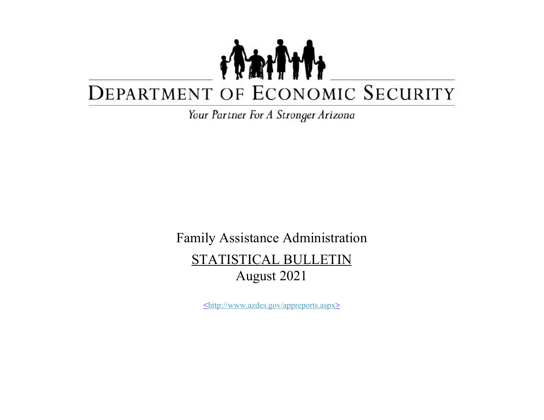## TANT DEPARTMENT OF ECONOMIC SECURITY

Your Partner For A Stronger Arizona

Family Assistance Administration STATISTICAL BULLETIN August 2021

<http://www.azdes.gov/appreports.aspx>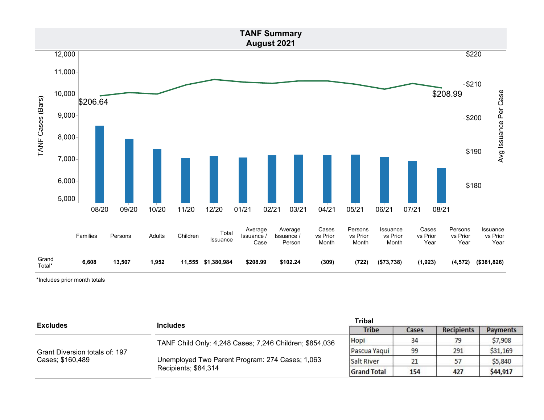

\*Includes prior month totals

| <b>Excludes</b>                | <b>Includes</b>                                                                                                                    | <b>Tribal</b>      |              |                   |                 |
|--------------------------------|------------------------------------------------------------------------------------------------------------------------------------|--------------------|--------------|-------------------|-----------------|
|                                |                                                                                                                                    | <b>Tribe</b>       | <b>Cases</b> | <b>Recipients</b> | <b>Payments</b> |
|                                | TANF Child Only: 4,248 Cases; 7,246 Children; \$854,036<br>Unemployed Two Parent Program: 274 Cases; 1,063<br>Recipients; \$84,314 | Hopi               | 34           | 70                | \$7,908         |
| Grant Diversion totals of: 197 |                                                                                                                                    | Pascua Yaqui       | 99           | 291               | \$31,169        |
| Cases; \$160,489               |                                                                                                                                    | Salt River         | 21           |                   | \$5,840         |
|                                |                                                                                                                                    | <b>Grand Total</b> | 154          | 427               | \$44,917        |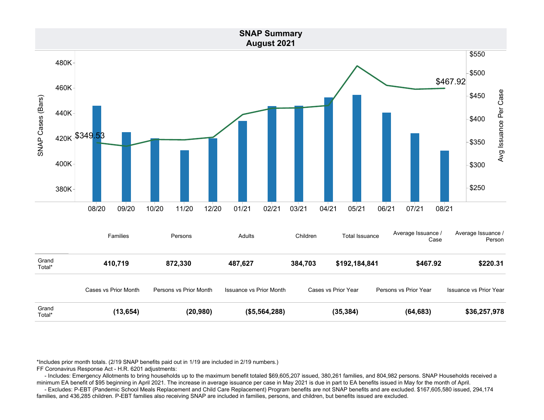

\*Includes prior month totals. (2/19 SNAP benefits paid out in 1/19 are included in 2/19 numbers.)

FF Coronavirus Response Act - H.R. 6201 adjustments:

 - Includes: Emergency Allotments to bring households up to the maximum benefit totaled \$69,605,207 issued, 380,261 families, and 804,982 persons. SNAP Households received a minimum EA benefit of \$95 beginning in April 2021. The increase in average issuance per case in May 2021 is due in part to EA benefits issued in May for the month of April.

 - Excludes: P-EBT (Pandemic School Meals Replacement and Child Care Replacement) Program benefits are not SNAP benefits and are excluded. \$167,605,580 issued, 294,174 families, and 436,285 children. P-EBT families also receiving SNAP are included in families, persons, and children, but benefits issued are excluded.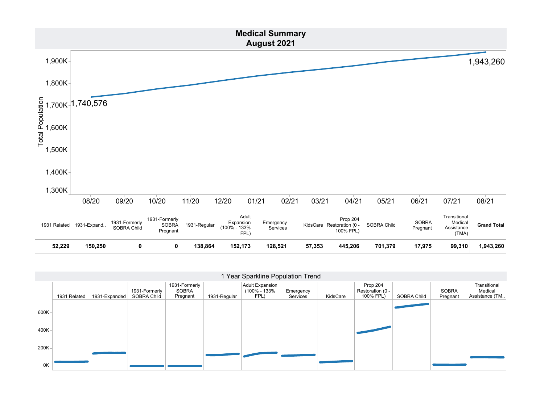

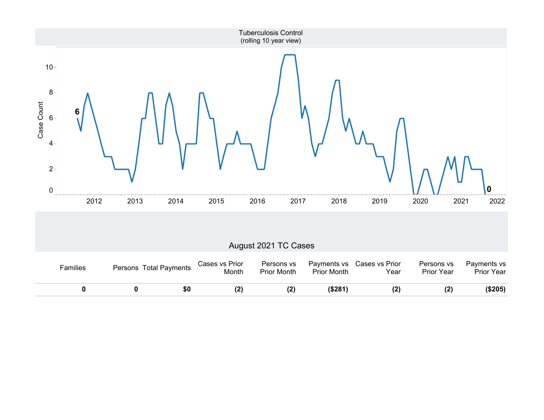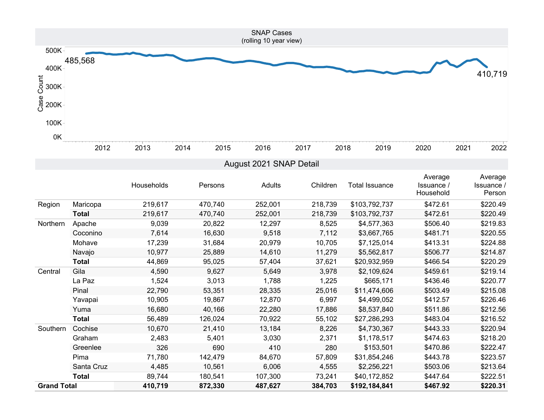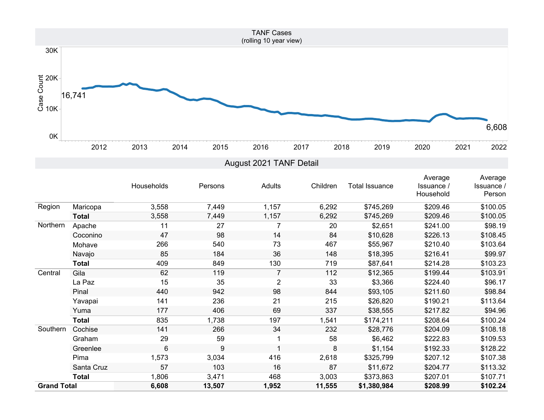

|                    |              | Households | Persons | Adults         | Children | <b>Total Issuance</b> | Average<br>Issuance /<br>Household | Average<br><b>Issuance</b> /<br>Person |
|--------------------|--------------|------------|---------|----------------|----------|-----------------------|------------------------------------|----------------------------------------|
| Region             | Maricopa     | 3,558      | 7,449   | 1,157          | 6,292    | \$745,269             | \$209.46                           | \$100.05                               |
|                    | <b>Total</b> | 3,558      | 7,449   | 1,157          | 6,292    | \$745,269             | \$209.46                           | \$100.05                               |
| Northern           | Apache       | 11         | 27      | 7              | 20       | \$2,651               | \$241.00                           | \$98.19                                |
|                    | Coconino     | 47         | 98      | 14             | 84       | \$10,628              | \$226.13                           | \$108.45                               |
|                    | Mohave       | 266        | 540     | 73             | 467      | \$55,967              | \$210.40                           | \$103.64                               |
|                    | Navajo       | 85         | 184     | 36             | 148      | \$18,395              | \$216.41                           | \$99.97                                |
|                    | <b>Total</b> | 409        | 849     | 130            | 719      | \$87,641              | \$214.28                           | \$103.23                               |
| Central            | Gila         | 62         | 119     | $\overline{7}$ | 112      | \$12,365              | \$199.44                           | \$103.91                               |
|                    | La Paz       | 15         | 35      | $\overline{2}$ | 33       | \$3,366               | \$224.40                           | \$96.17                                |
|                    | Pinal        | 440        | 942     | 98             | 844      | \$93,105              | \$211.60                           | \$98.84                                |
|                    | Yavapai      | 141        | 236     | 21             | 215      | \$26,820              | \$190.21                           | \$113.64                               |
|                    | Yuma         | 177        | 406     | 69             | 337      | \$38,555              | \$217.82                           | \$94.96                                |
|                    | <b>Total</b> | 835        | 1,738   | 197            | 1,541    | \$174,211             | \$208.64                           | \$100.24                               |
| Southern           | Cochise      | 141        | 266     | 34             | 232      | \$28,776              | \$204.09                           | \$108.18                               |
|                    | Graham       | 29         | 59      |                | 58       | \$6,462               | \$222.83                           | \$109.53                               |
|                    | Greenlee     | 6          | 9       |                | 8        | \$1,154               | \$192.33                           | \$128.22                               |
|                    | Pima         | 1,573      | 3,034   | 416            | 2,618    | \$325,799             | \$207.12                           | \$107.38                               |
|                    | Santa Cruz   | 57         | 103     | 16             | 87       | \$11,672              | \$204.77                           | \$113.32                               |
|                    | <b>Total</b> | 1,806      | 3,471   | 468            | 3,003    | \$373,863             | \$207.01                           | \$107.71                               |
| <b>Grand Total</b> |              | 6,608      | 13,507  | 1,952          | 11,555   | \$1,380,984           | \$208.99                           | \$102.24                               |